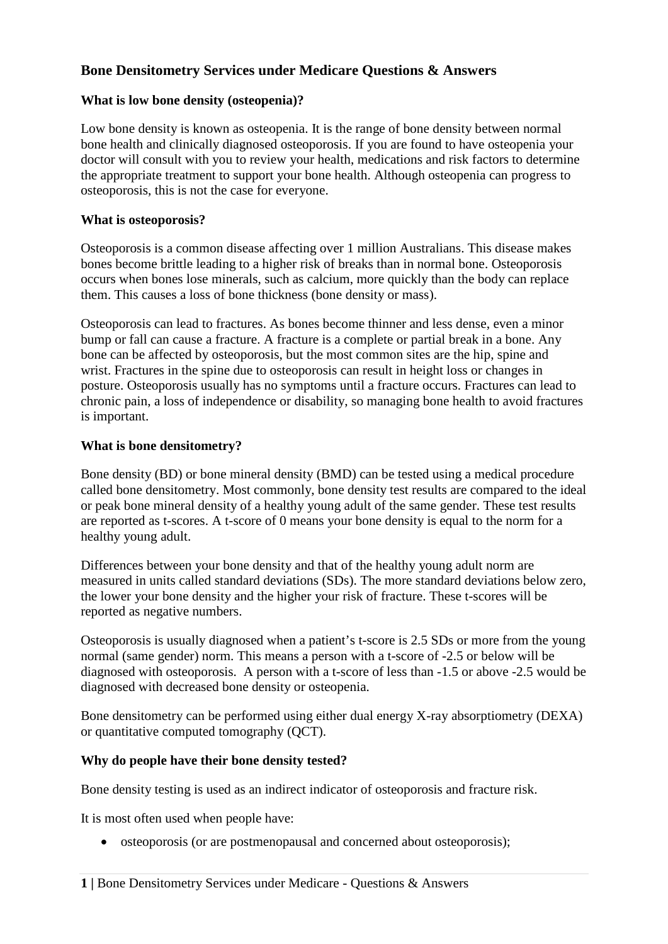# **Bone Densitometry Services under Medicare Questions & Answers**

### **What is low bone density (osteopenia)?**

Low bone density is known as osteopenia. It is the range of bone density between normal bone health and clinically diagnosed osteoporosis. If you are found to have osteopenia your doctor will consult with you to review your health, medications and risk factors to determine the appropriate treatment to support your bone health. Although osteopenia can progress to osteoporosis, this is not the case for everyone.

### **What is osteoporosis?**

Osteoporosis is a common disease affecting over 1 million Australians. This disease makes bones become brittle leading to a higher risk of breaks than in normal bone. Osteoporosis occurs when bones lose minerals, such as calcium, more quickly than the body can replace them. This causes a loss of bone thickness (bone density or mass).

Osteoporosis can lead to fractures. As bones become thinner and less dense, even a minor bump or fall can cause a fracture. A fracture is a complete or partial break in a bone. Any bone can be affected by osteoporosis, but the most common sites are the hip, spine and wrist. Fractures in the spine due to osteoporosis can result in height loss or changes in posture. Osteoporosis usually has no symptoms until a fracture occurs. Fractures can lead to chronic pain, a loss of independence or disability, so managing bone health to avoid fractures is important.

## **What is bone densitometry?**

Bone density (BD) or bone mineral density (BMD) can be tested using a medical procedure called bone densitometry. Most commonly, bone density test results are compared to the ideal or peak bone mineral density of a healthy young adult of the same gender. These test results are reported as t-scores. A t-score of 0 means your bone density is equal to the norm for a healthy young adult.

Differences between your bone density and that of the healthy young adult norm are measured in units called standard deviations (SDs). The more standard deviations below zero, the lower your bone density and the higher your risk of fracture. These t-scores will be reported as negative numbers.

Osteoporosis is usually diagnosed when a patient's t-score is 2.5 SDs or more from the young normal (same gender) norm. This means a person with a t-score of -2.5 or below will be diagnosed with osteoporosis. A person with a t-score of less than -1.5 or above -2.5 would be diagnosed with decreased bone density or osteopenia.

Bone densitometry can be performed using either dual energy X-ray absorptiometry (DEXA) or quantitative computed tomography (QCT).

#### **Why do people have their bone density tested?**

Bone density testing is used as an indirect indicator of osteoporosis and fracture risk.

It is most often used when people have:

• osteoporosis (or are postmenopausal and concerned about osteoporosis);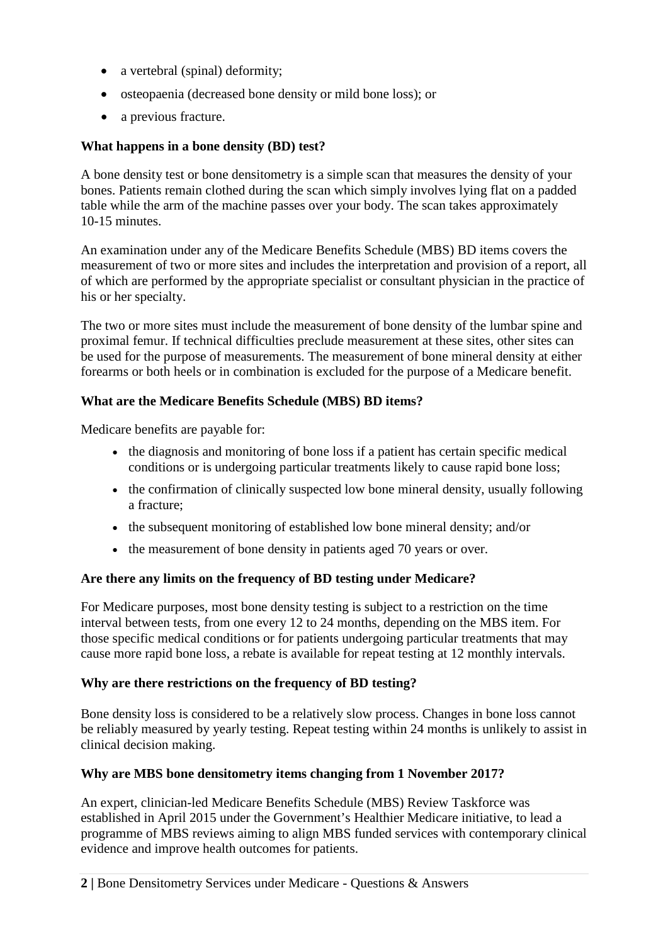- a vertebral (spinal) deformity:
- osteopaenia (decreased bone density or mild bone loss); or
- a previous fracture.

### **What happens in a bone density (BD) test?**

A bone density test or bone densitometry is a simple scan that measures the density of your bones. Patients remain clothed during the scan which simply involves lying flat on a padded table while the arm of the machine passes over your body. The scan takes approximately 10-15 minutes.

An examination under any of the Medicare Benefits Schedule (MBS) BD items covers the measurement of two or more sites and includes the interpretation and provision of a report, all of which are performed by the appropriate specialist or consultant physician in the practice of his or her specialty.

The two or more sites must include the measurement of bone density of the lumbar spine and proximal femur. If technical difficulties preclude measurement at these sites, other sites can be used for the purpose of measurements. The measurement of bone mineral density at either forearms or both heels or in combination is excluded for the purpose of a Medicare benefit.

## **What are the Medicare Benefits Schedule (MBS) BD items?**

Medicare benefits are payable for:

- the diagnosis and monitoring of bone loss if a patient has certain specific medical conditions or is undergoing particular treatments likely to cause rapid bone loss;
- the confirmation of clinically suspected low bone mineral density, usually following a fracture;
- the subsequent monitoring of established low bone mineral density; and/or
- the measurement of bone density in patients aged 70 years or over.

#### **Are there any limits on the frequency of BD testing under Medicare?**

For Medicare purposes, most bone density testing is subject to a restriction on the time interval between tests, from one every 12 to 24 months, depending on the MBS item. For those specific medical conditions or for patients undergoing particular treatments that may cause more rapid bone loss, a rebate is available for repeat testing at 12 monthly intervals.

#### **Why are there restrictions on the frequency of BD testing?**

Bone density loss is considered to be a relatively slow process. Changes in bone loss cannot be reliably measured by yearly testing. Repeat testing within 24 months is unlikely to assist in clinical decision making.

#### **Why are MBS bone densitometry items changing from 1 November 2017?**

An expert, clinician-led Medicare Benefits Schedule (MBS) Review Taskforce was established in April 2015 under the Government's Healthier Medicare initiative, to lead a programme of MBS reviews aiming to align MBS funded services with contemporary clinical evidence and improve health outcomes for patients.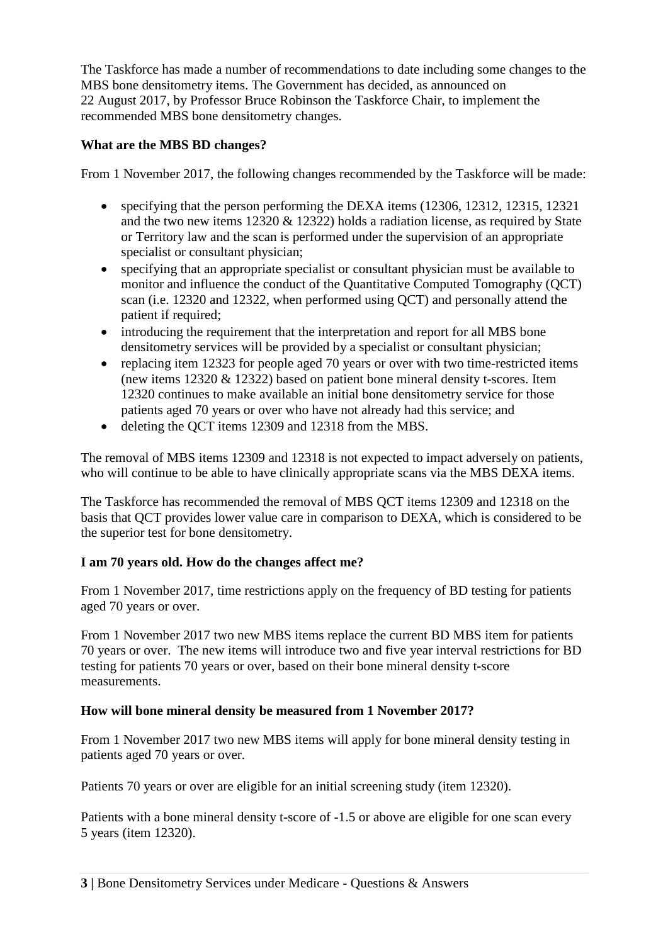The Taskforce has made a number of recommendations to date including some changes to the MBS bone densitometry items. The Government has decided, as announced on 22 August 2017, by Professor Bruce Robinson the Taskforce Chair, to implement the recommended MBS bone densitometry changes.

## **What are the MBS BD changes?**

From 1 November 2017, the following changes recommended by the Taskforce will be made:

- specifying that the person performing the DEXA items (12306, 12312, 12315, 12321) and the two new items 12320 & 12322) holds a radiation license, as required by State or Territory law and the scan is performed under the supervision of an appropriate specialist or consultant physician;
- specifying that an appropriate specialist or consultant physician must be available to monitor and influence the conduct of the Quantitative Computed Tomography (QCT) scan (i.e. 12320 and 12322, when performed using QCT) and personally attend the patient if required;
- introducing the requirement that the interpretation and report for all MBS bone densitometry services will be provided by a specialist or consultant physician;
- replacing item 12323 for people aged 70 years or over with two time-restricted items (new items 12320 & 12322) based on patient bone mineral density t-scores. Item 12320 continues to make available an initial bone densitometry service for those patients aged 70 years or over who have not already had this service; and
- deleting the QCT items 12309 and 12318 from the MBS.

The removal of MBS items 12309 and 12318 is not expected to impact adversely on patients, who will continue to be able to have clinically appropriate scans via the MBS DEXA items.

The Taskforce has recommended the removal of MBS QCT items 12309 and 12318 on the basis that QCT provides lower value care in comparison to DEXA, which is considered to be the superior test for bone densitometry.

## **I am 70 years old. How do the changes affect me?**

From 1 November 2017, time restrictions apply on the frequency of BD testing for patients aged 70 years or over.

From 1 November 2017 two new MBS items replace the current BD MBS item for patients 70 years or over. The new items will introduce two and five year interval restrictions for BD testing for patients 70 years or over, based on their bone mineral density t-score measurements.

## **How will bone mineral density be measured from 1 November 2017?**

From 1 November 2017 two new MBS items will apply for bone mineral density testing in patients aged 70 years or over.

Patients 70 years or over are eligible for an initial screening study (item 12320).

Patients with a bone mineral density t-score of -1.5 or above are eligible for one scan every 5 years (item 12320).